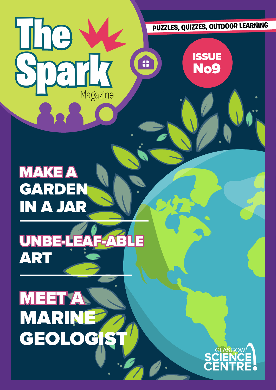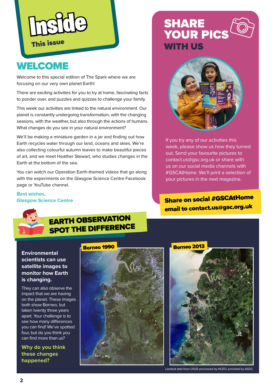

# **WELCOME**

Welcome to this special edition of The Spark where we are focusing on our very own planet Earth!

There are exciting activities for you to try at home, fascinating facts to ponder over, and puzzles and quizzes to challenge your family.

This week our activities are linked to the natural environment. Our planet is constantly undergoing transformation, with the changing seasons, with the weather, but also through the actions of humans. What changes do you see in your natural environment?

We'll be making a miniature garden in a jar and finding out how Earth recycles water through our land, oceans and skies. We're also collecting colourful autumn leaves to make beautiful pieces of art, and we meet Heather Stewart, who studies changes in the Earth at the bottom of the sea.

You can watch our Operation Earth-themed videos that go along with the experiments on the Glasgow Science Centre Facebook page or YouTube channel.

#### **Best wishes, Glasgow Science Centre**

# **SHARE<br>YOUR PICS WITH US**



If you try any of our activities this week, please show us how they turned out. Send your favourite pictures to contact.us@gsc.org.uk or share with us on our social media channels with #GSCAtHome. We'll print a selection of your pictures in the next magazine.

#### email to contact.us@gsc.org.u<sup>k</sup> Share on social #GSCAtHome



### EARTH OBSERVATION SPOT THE DIFFERENCE

**Environmental scientists can use satellite images to monitor how Earth is changing.**

They can also observe the impact that we are having on the planet. These images both show Borneo, but taken twenty three years apart. Your challenge is to see how many differences you can find! We've spotted four, but do you think you can find more than us?

**Why do you think these changes happened?**





Landsat data from USGS processed by NCEO, provided by ASDC.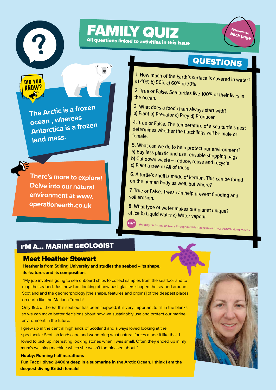

**KNNW** 

## FAMILY QUIZ All questions linked to activities in this issue



# **QUESTIONS**

1. How much of the Earth's surface is covered in water? a) 40% b) 50% c) 60% d) 70%

2. True or False. Sea turtles live 100% of their lives in the ocean.

3. What does a food chain always start with? a) Plant b) Predator c) Prey d) Producer

4. True or False. The temperature of a sea turtle's nest determines whether the hatchlings will be male or female.

5. What can we do to help protect our environment?

- a) Buy less plastic and use reusable shopping bags
- b) Cut down waste reduce, reuse and recycle
- c) Plant a tree d) All of these

6. A turtle's shell is made of keratin. This can be found on the human body as well, but where?

7. True or False. Trees can help prevent flooding and soil erosion.

**HINT** You may find some answers throughout this magazine or in our #GSCAtHome videos.

8. What type of water makes our planet unique? a) Ice b) Liquid water c) Water vapour

I'M A... MARINE GEOLOGIST

#### Meet Heather Stewart

**Heather is from Stirling University and studies the seabed – its shape, its features and its composition.**

"My job involves going to sea onboard ships to collect samples from the seafloor and to map the seabed. Just now I am looking at how past glaciers shaped the seabed around Scotland and the geomorphology [the shape, features and origins] of the deepest places on earth like the Mariana Trench!

Only 19% of the Earth's seafloor has been mapped, it is very important to fill in the blanks so we can make better decisions about how we sustainably use and protect our marine environment in the future.

I grew up in the central highlands of Scotland and always loved looking at the spectacular Scottish landscape and wondering what natural forces made it like that. I loved to pick up interesting looking stones when I was small. Often they ended up in my mum's washing machine which she wasn't too pleased about!"

**Hobby: Running half marathons Fun Fact: I dived 2400m deep in a submarine in the Arctic Ocean, I think I am the deepest diving British female!** 



**The Arctic is a frozen** 

**Antarctica is a frozen** 

**There's more to explore!** 

**Delve into our natural** 

**environment at www.**

**operationearth.co.uk** 

**ocean , whereas** 

**land mass.**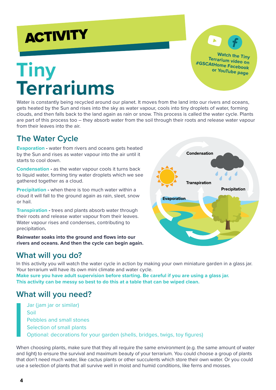# **ACTIVITY**

# **Tiny Terrariums**

Water is constantly being recycled around our planet. It moves from the land into our rivers and oceans, gets heated by the Sun and rises into the sky as water vapour, cools into tiny droplets of water, forming clouds, and then falls back to the land again as rain or snow. This process is called the water cycle. Plants are part of this process too – they absorb water from the soil through their roots and release water vapour from their leaves into the air.

### **The Water Cycle**

**Evaporation -** water from rivers and oceans gets heated by the Sun and rises as water vapour into the air until it starts to cool down.

**Condensation -** as the water vapour cools it turns back to liquid water, forming tiny water droplets which we see gathered together as a cloud.

**Precipitation -** when there is too much water within a cloud it will fall to the ground again as rain, sleet, snow or hail.

**Transpiration -** trees and plants absorb water through their roots and release water vapour from their leaves. Water vapour rises and condenses, contributing to precipitation**.** 

**Rainwater soaks into the ground and flows into our rivers and oceans. And then the cycle can begin again.**

### **What will you do?**

In this activity you will watch the water cycle in action by making your own miniature garden in a glass jar. Your terrarium will have its own mini climate and water cycle.

**Make sure you have adult supervision before starting. Be careful if you are using a glass jar. This activity can be messy so best to do this at a table that can be wiped clean.**

#### **What will you need?**

Jar (jam jar or similar) Soil Pebbles and small stones Selection of small plants Optional: decorations for your garden (shells, bridges, twigs, toy figures)

When choosing plants, make sure that they all require the same environment (e.g. the same amount of water and light) to ensure the survival and maximum beauty of your terrarium. You could choose a group of plants that don't need much water, like cactus plants or other succulents which store their own water. Or you could use a selection of plants that all survive well in moist and humid conditions, like ferns and mosses.

**Condensation Transpiration** Precipitation **Evaporation** 

**Watch the Tiny Terrarium video on #GSCAtHome Facebook or YouTube page**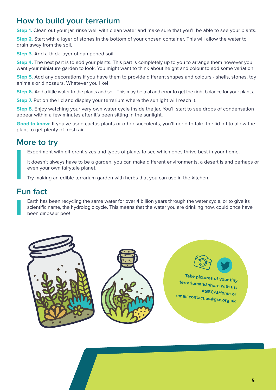### **How to build your terrarium**

**Step 1.** Clean out your jar, rinse well with clean water and make sure that you'll be able to see your plants.

**Step 2.** Start with a layer of stones in the bottom of your chosen container. This will allow the water to drain away from the soil.

**Step 3.** Add a thick layer of dampened soil.

**Step 4.** The next part is to add your plants. This part is completely up to you to arrange them however you want your miniature garden to look. You might want to think about height and colour to add some variation.

**Step 5.** Add any decorations if you have them to provide different shapes and colours - shells, stones, toy animals or dinosaurs. Whatever you like!

**Step 6.** Add a little water to the plants and soil. This may be trial and error to get the right balance for your plants.

**Step 7.** Put on the lid and display your terrarium where the sunlight will reach it.

**Step 8.** Enjoy watching your very own water cycle inside the jar. You'll start to see drops of condensation appear within a few minutes after it's been sitting in the sunlight.

**Good to know:** If you've used cactus plants or other succulents, you'll need to take the lid off to allow the plant to get plenty of fresh air.

#### **More to try**

Experiment with different sizes and types of plants to see which ones thrive best in your home.

It doesn't always have to be a garden, you can make different environments, a desert island perhaps or even your own fairytale planet.

Try making an edible terrarium garden with herbs that you can use in the kitchen.

### **Fun fact**

Earth has been recycling the same water for over 4 billion years through the water cycle, or to give its scientific name, the hydrologic cycle. This means that the water you are drinking now, could once have been dinosaur pee!

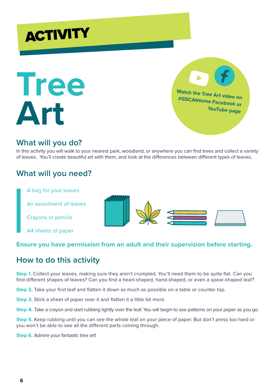



**Watch the Tree Art video on #GSCAtHome Facebook or YouTube page** 

#### **What will you do?**

In this activity you will walk to your nearest park, woodland, or anywhere you can find trees and collect a variety of leaves. You'll create beautiful art with them, and look at the differences between different types of leaves**.**

#### **What will you need?**

A bag for your leaves

An assortment of leaves

Crayons or pencils

A4 sheets of paper



#### **Ensure you have permission from an adult and their supervision before starting.**

### **How to do this activity**

**Step 1.** Collect your leaves, making sure they aren't crumpled. You'll need them to be quite flat. Can you find different shapes of leaves? Can you find a heart-shaped, hand-shaped, or even a spear-shaped leaf?

**Step 2.** Take your first leaf and flatten it down as much as possible on a table or counter top.

**Step 3.** Stick a sheet of paper over it and flatten it a little bit more.

**Step 4.** Take a crayon and start rubbing lightly over the leaf. You will begin to see patterns on your paper as you go.

**Step 5.** Keep rubbing until you can see the whole leaf on your piece of paper. But don't press too hard or you won't be able to see all the different parts coming through.

**Step 6.** Admire your fantastic tree art!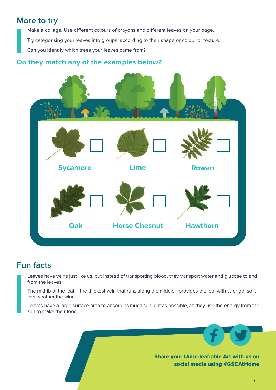#### **More to try**

Make a collage. Use different colours of crayons and different leaves on your page. Try categorising your leaves into groups, according to their shape or colour or texture. Can you identify which trees your leaves came from?

#### **Do they match any of the examples below?**



#### **Fun facts**

Leaves have veins just like us, but instead of transporting blood, they transport water and glucose to and from the leaves.

The midrib of the leaf – the thickest vein that runs along the middle - provides the leaf with strength so it can weather the wind.

Leaves have a large surface area to absorb as much sunlight as possible, as they use the energy from the sun to make their food.

> Share your Unbe-leaf-able Art with us on social media using #GSCAtHome